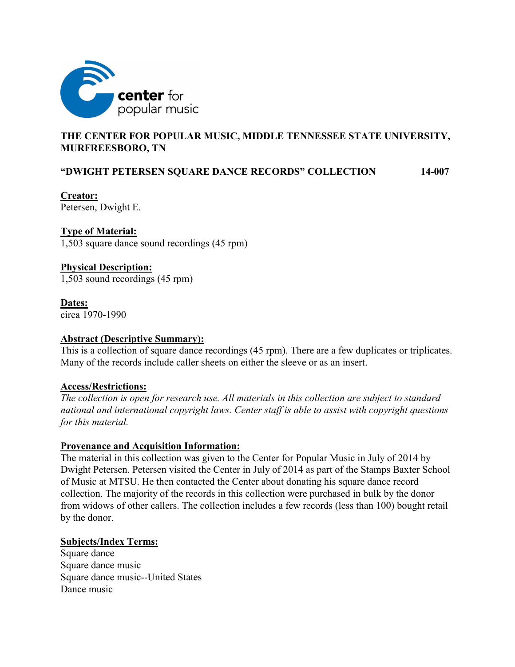

# **THE CENTER FOR POPULAR MUSIC, MIDDLE TENNESSEE STATE UNIVERSITY, MURFREESBORO, TN**

# **"DWIGHT PETERSEN SQUARE DANCE RECORDS" COLLECTION 14-007**

**Creator:** Petersen, Dwight E.

**Type of Material:**

1,503 square dance sound recordings (45 rpm)

#### **Physical Description:**

1,503 sound recordings (45 rpm)

#### **Dates:**

circa 1970-1990

#### **Abstract (Descriptive Summary):**

This is a collection of square dance recordings (45 rpm). There are a few duplicates or triplicates. Many of the records include caller sheets on either the sleeve or as an insert.

### **Access/Restrictions:**

*The collection is open for research use. All materials in this collection are subject to standard national and international copyright laws. Center staff is able to assist with copyright questions for this material.*

#### **Provenance and Acquisition Information:**

The material in this collection was given to the Center for Popular Music in July of 2014 by Dwight Petersen. Petersen visited the Center in July of 2014 as part of the Stamps Baxter School of Music at MTSU. He then contacted the Center about donating his square dance record collection. The majority of the records in this collection were purchased in bulk by the donor from widows of other callers. The collection includes a few records (less than 100) bought retail by the donor.

#### **Subjects/Index Terms:**

Square dance Square dance music Square dance music--United States Dance music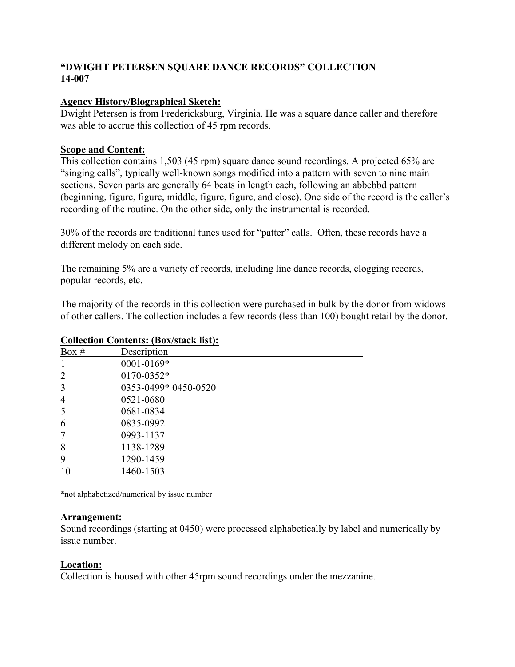# **"DWIGHT PETERSEN SQUARE DANCE RECORDS" COLLECTION 14-007**

## **Agency History/Biographical Sketch:**

Dwight Petersen is from Fredericksburg, Virginia. He was a square dance caller and therefore was able to accrue this collection of 45 rpm records.

### **Scope and Content:**

This collection contains 1,503 (45 rpm) square dance sound recordings. A projected 65% are "singing calls", typically well-known songs modified into a pattern with seven to nine main sections. Seven parts are generally 64 beats in length each, following an abbcbbd pattern (beginning, figure, figure, middle, figure, figure, and close). One side of the record is the caller's recording of the routine. On the other side, only the instrumental is recorded.

30% of the records are traditional tunes used for "patter" calls. Often, these records have a different melody on each side.

The remaining 5% are a variety of records, including line dance records, clogging records, popular records, etc.

The majority of the records in this collection were purchased in bulk by the donor from widows of other callers. The collection includes a few records (less than 100) bought retail by the donor.

| Box $#$        | Description          |  |
|----------------|----------------------|--|
| 1              | 0001-0169*           |  |
| 2              | 0170-0352*           |  |
| 3              | 0353-0499* 0450-0520 |  |
| $\overline{4}$ | 0521-0680            |  |
| 5              | 0681-0834            |  |
| 6              | 0835-0992            |  |
| 7              | 0993-1137            |  |
| 8              | 1138-1289            |  |
| 9              | 1290-1459            |  |
| 10             | 1460-1503            |  |
|                |                      |  |

# **Collection Contents: (Box/stack list):**

\*not alphabetized/numerical by issue number

### **Arrangement:**

Sound recordings (starting at 0450) were processed alphabetically by label and numerically by issue number.

### **Location:**

Collection is housed with other 45rpm sound recordings under the mezzanine.